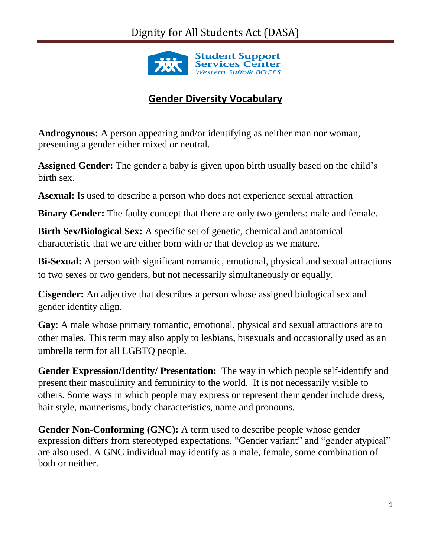

## **Gender Diversity Vocabulary**

**Androgynous:** A person appearing and/or identifying as neither man nor woman, presenting a gender either mixed or neutral.

**Assigned Gender:** The gender a baby is given upon birth usually based on the child's birth sex.

**Asexual:** Is used to describe a person who does not experience sexual attraction

**Binary Gender:** The faulty concept that there are only two genders: male and female.

**Birth Sex/Biological Sex:** A specific set of genetic, chemical and anatomical characteristic that we are either born with or that develop as we mature.

**Bi-Sexual:** A person with significant romantic, emotional, physical and sexual attractions to two sexes or two genders, but not necessarily simultaneously or equally.

**Cisgender:** An adjective that describes a person whose assigned biological sex and gender identity align.

**Gay**: A male whose primary romantic, emotional, physical and sexual attractions are to other males. This term may also apply to lesbians, bisexuals and occasionally used as an umbrella term for all LGBTQ people.

**Gender Expression/Identity/ Presentation:** The way in which people self-identify and present their masculinity and femininity to the world. It is not necessarily visible to others. Some ways in which people may express or represent their gender include dress, hair style, mannerisms, body characteristics, name and pronouns.

**Gender Non-Conforming (GNC):** A term used to describe people whose gender expression differs from stereotyped expectations. "Gender variant" and "gender atypical" are also used. A GNC individual may identify as a male, female, some combination of both or neither.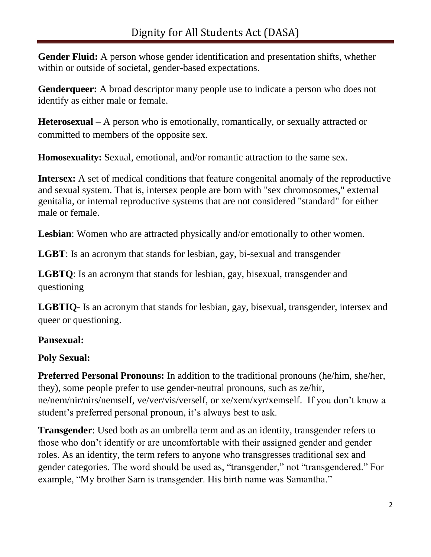**Gender Fluid:** A person whose gender identification and presentation shifts, whether within or outside of societal, gender-based expectations.

**Genderqueer:** A broad descriptor many people use to indicate a person who does not identify as either male or female.

**Heterosexual** – A person who is emotionally, romantically, or sexually attracted or committed to members of the opposite sex.

**Homosexuality:** Sexual, emotional, and/or romantic attraction to the same sex.

**Intersex:** A set of medical conditions that feature congenital anomaly of the reproductive and sexual system. That is, intersex people are born with "sex chromosomes," external genitalia, or internal reproductive systems that are not considered "standard" for either male or female.

**Lesbian**: Women who are attracted physically and/or emotionally to other women.

**LGBT**: Is an acronym that stands for lesbian, gay, bi-sexual and transgender

**LGBTQ**: Is an acronym that stands for lesbian, gay, bisexual, transgender and questioning

**LGBTIQ**- Is an acronym that stands for lesbian, gay, bisexual, transgender, intersex and queer or questioning.

## **Pansexual:**

## **Poly Sexual:**

**Preferred Personal Pronouns:** In addition to the traditional pronouns (he/him, she/her, they), some people prefer to use gender-neutral pronouns, such as ze/hir, ne/nem/nir/nirs/nemself, ve/ver/vis/verself, or xe/xem/xyr/xemself. If you don't know a student's preferred personal pronoun, it's always best to ask.

**Transgender**: Used both as an umbrella term and as an identity, transgender refers to those who don't identify or are uncomfortable with their assigned gender and gender roles. As an identity, the term refers to anyone who transgresses traditional sex and gender categories. The word should be used as, "transgender," not "transgendered." For example, "My brother Sam is transgender. His birth name was Samantha."